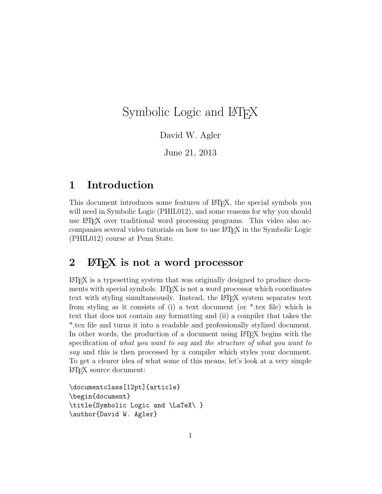# Symbolic Logic and LAT<sub>EX</sub>

David W. Agler

June 21, 2013

# 1 Introduction

This document introduces some features of LAT<sub>EX</sub>, the special symbols you will need in Symbolic Logic (PHIL012), and some reasons for why you should use LAT<sub>EX</sub> over traditional word processing programs. This video also accompanies several video tutorials on how to use L<sup>AT</sup>EX in the Symbolic Logic (PHIL012) course at Penn State.

# 2 ET<sub>F</sub>X is not a word processor

LATEX is a typesetting system that was originally designed to produce documents with special symbols. LATEX is not a word processor which coordinates text with styling simultaneously. Instead, the LAT<sub>E</sub>X system separates text from styling as it consists of (i) a text document (or \*.tex file) which is text that does not contain any formatting and (ii) a compiler that takes the \*.tex file and turns it into a readable and professionally stylized document. In other words, the production of a document using LATEX begins with the specification of what you want to say and the structure of what you want to say and this is then processed by a compiler which styles your document. To get a clearer idea of what some of this means, let's look at a very simple LATEX source document:

```
\documentclass[12pt]{article}
\begin{document}
\title{Symbolic Logic and \LaTeX\ }
\author{David W. Agler}
```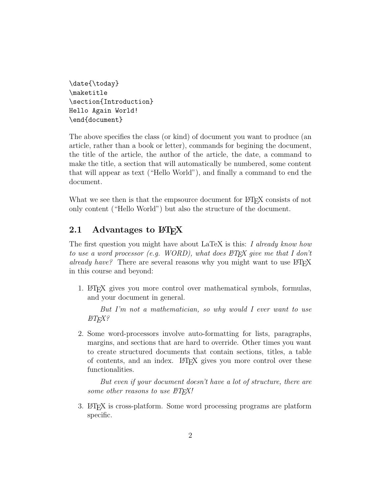\date{\today} \maketitle \section{Introduction} Hello Again World! \end{document}

The above specifies the class (or kind) of document you want to produce (an article, rather than a book or letter), commands for begining the document, the title of the article, the author of the article, the date, a command to make the title, a section that will automatically be numbered, some content that will appear as text ("Hello World"), and finally a command to end the document.

What we see then is that the empsource document for LATEX consists of not only content ("Hello World") but also the structure of the document.

## 2.1 Advantages to  $\angle M$ <sub>F</sub>X

The first question you might have about LaTeX is this: I already know how to use a word processor (e.g. WORD), what does  $BT_{F}X$  give me that I don't already have? There are several reasons why you might want to use  $\angle$ FIFX in this course and beyond:

1. LATEX gives you more control over mathematical symbols, formulas, and your document in general.

But I'm not a mathematician, so why would I ever want to use  $BT_FX?$ 

2. Some word-processors involve auto-formatting for lists, paragraphs, margins, and sections that are hard to override. Other times you want to create structured documents that contain sections, titles, a table of contents, and an index. LATEX gives you more control over these functionalities.

But even if your document doesn't have a lot of structure, there are some other reasons to use  $\beta T_F X!$ 

3. LATEX is cross-platform. Some word processing programs are platform specific.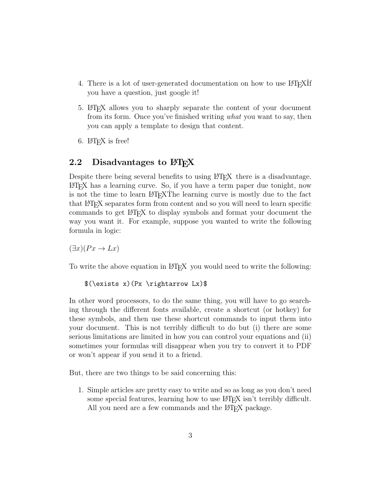- 4. There is a lot of user-generated documentation on how to use LAT<sub>E</sub>XIf you have a question, just google it!
- 5. LATEX allows you to sharply separate the content of your document from its form. Once you've finished writing what you want to say, then you can apply a template to design that content.
- 6. LATEX is free!

# 2.2 Disadvantages to FIFX

Despite there being several benefits to using LATEX there is a disadvantage. LATEX has a learning curve. So, if you have a term paper due tonight, now is not the time to learn  $\Delta F_F$ XThe learning curve is mostly due to the fact that LATEX separates form from content and so you will need to learn specific commands to get LATEX to display symbols and format your document the way you want it. For example, suppose you wanted to write the following formula in logic:

 $(\exists x)(Px \rightarrow Lx)$ 

To write the above equation in LATEX you would need to write the following:

```
$(\exists x)(Px \rightarrow Lx)$
```
In other word processors, to do the same thing, you will have to go searching through the different fonts available, create a shortcut (or hotkey) for these symbols, and then use these shortcut commands to input them into your document. This is not terribly difficult to do but (i) there are some serious limitations are limited in how you can control your equations and (ii) sometimes your formulas will disappear when you try to convert it to PDF or won't appear if you send it to a friend.

But, there are two things to be said concerning this:

1. Simple articles are pretty easy to write and so as long as you don't need some special features, learning how to use LAT<sub>EX</sub> isn't terribly difficult. All you need are a few commands and the LAT<sub>EX</sub> package.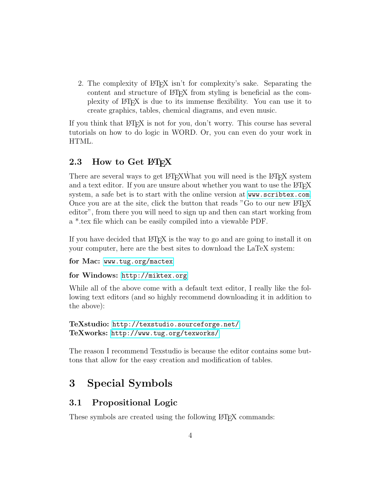2. The complexity of LATEX isn't for complexity's sake. Separating the content and structure of LAT<sub>EX</sub> from styling is beneficial as the complexity of LATEX is due to its immense flexibility. You can use it to create graphics, tables, chemical diagrams, and even music.

If you think that LATEX is not for you, don't worry. This course has several tutorials on how to do logic in WORD. Or, you can even do your work in HTML.

## 2.3 How to Get LAT<sub>EX</sub>

There are several ways to get LATEXWhat you will need is the LATEX system and a text editor. If you are unsure about whether you want to use the LATEX system, a safe bet is to start with the online version at <www.scribtex.com>. Once you are at the site, click the button that reads "Go to our new  $\angle$ ETEX editor", from there you will need to sign up and then can start working from a \*.tex file which can be easily compiled into a viewable PDF.

If you have decided that LATEX is the way to go and are going to install it on your computer, here are the best sites to download the LaTeX system:

for Mac: <www.tug.org/mactex>

#### for Windows: <http://miktex.org>

While all of the above come with a default text editor, I really like the following text editors (and so highly recommend downloading it in addition to the above):

```
TeXstudio: http://texstudio.sourceforge.net/
TeXworks: http://www.tug.org/texworks/
```
The reason I recommend Texstudio is because the editor contains some buttons that allow for the easy creation and modification of tables.

# 3 Special Symbols

### 3.1 Propositional Logic

These symbols are created using the following L<sup>AT</sup>EX commands: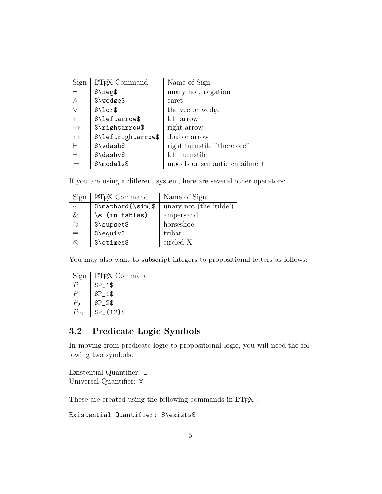| Sign              | LAT <sub>F</sub> X Command | Name of Sign                  |
|-------------------|----------------------------|-------------------------------|
|                   | $\n$                       | unary not, negation           |
|                   | \$\wedge\$                 | caret                         |
|                   | $\lceil$ \lor\$            | the vee or wedge              |
|                   | \$\leftarrow\$             | left arrow                    |
| $\rightarrow$     | \$\rightarrow\$            | right arrow                   |
| $\leftrightarrow$ | \$\leftrightarrow\$        | double arrow                  |
|                   | $\forall \forall a \in B$  | right turnstile "therefore"   |
|                   | $\dagger$ dashv\$          | left turnstile                |
|                   | $\mathcal{S}\mod 0$        | models or semantic entailment |

If you are using a different system, here are several other operators:

| Sign      | LAT <sub>F</sub> X Command | Name of Sign            |
|-----------|----------------------------|-------------------------|
| $\sim$    | $\mathcal{S}\mathcal{S}$   | unary not (the 'tilde') |
| &         | \& (in tables)             | ampersand               |
| $\bigcap$ | \$\supset\$                | horseshoe               |
| 亖         | $\text{\textdegree}$       | tribar                  |
| X.        | \$\otimes\$                | circled X               |

You may also want to subscript integers to propositional letters as follows:

| Sign     | LAT <sub>F</sub> X Command |
|----------|----------------------------|
|          | $$P_1$$                    |
| $P_1$    | $$P_1$$                    |
| $P_{2}$  | $$P_2$$                    |
| $P_{12}$ | $$P_{12}$$                 |

# 3.2 Predicate Logic Symbols

In moving from predicate logic to propositional logic, you will need the following two symbols:

Existential Quantifier: ∃ Universal Quantifier: ∀

These are created using the following commands in  $\mathbb{P}\mathrm{T}\mathrm{E}\mathrm{X}$  :

Existential Quantifier: \$\exists\$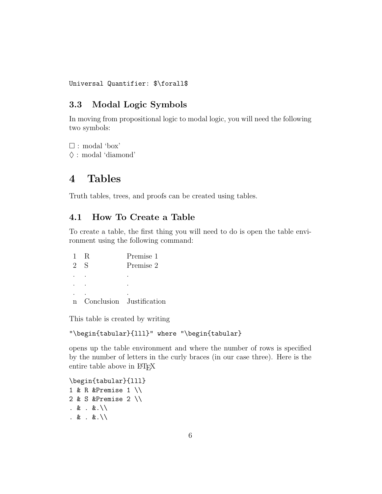#### Universal Quantifier: \$\forall\$

# 3.3 Modal Logic Symbols

In moving from propositional logic to modal logic, you will need the following two symbols:

 : modal 'box'  $\diamond$ : modal 'diamond'

# 4 Tables

Truth tables, trees, and proofs can be created using tables.

## 4.1 How To Create a Table

To create a table, the first thing you will need to do is open the table environment using the following command:

|   | R | Premise 1                |
|---|---|--------------------------|
| 2 | S | Premise 2                |
|   |   |                          |
|   |   |                          |
|   |   |                          |
|   |   | Conclusion Justification |

This table is created by writing

### "\begin{tabular}{lll}" where "\begin{tabular}

opens up the table environment and where the number of rows is specified by the number of letters in the curly braces (in our case three). Here is the entire table above in L<sup>AT</sup>EX

\begin{tabular}{lll} 1 & R &Premise 1 \\ 2 & S &Premise 2 \\ . & . &.\\ . & . &. $\setminus$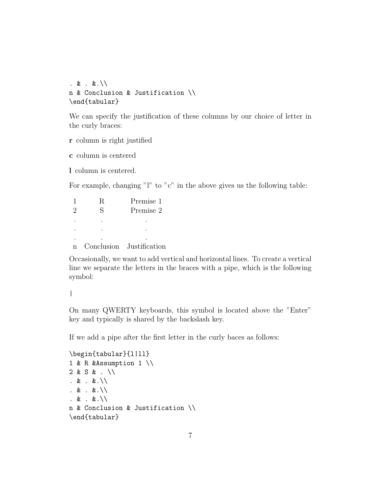```
. & . &.\setminusn & Conclusion & Justification \\
\end{tabular}
```
We can specify the justification of these columns by our choice of letter in the curly braces:

r column is right justified

c column is centered

l column is centered.

For example, changing "l" to "c" in the above gives us the following table:

|                             |   | Premise 1                |
|-----------------------------|---|--------------------------|
| $\mathcal{D}_{\mathcal{L}}$ | S | Premise 2                |
|                             |   |                          |
|                             |   |                          |
|                             |   |                          |
|                             |   | Conclusion Justification |

Occasionally, we want to add vertical and horizontal lines. To create a vertical line we separate the letters in the braces with a pipe, which is the following symbol:

|

On many QWERTY keyboards, this symbol is located above the "Enter" key and typically is shared by the backslash key.

If we add a pipe after the first letter in the curly baces as follows:

```
\begin{tabular}{l|ll}
1 & R &Assumption 1 \\
2 & S & . \\
. & . &.\\
. & . &.\setminus. & . &.\\
n & Conclusion & Justification \\
\end{tabular}
```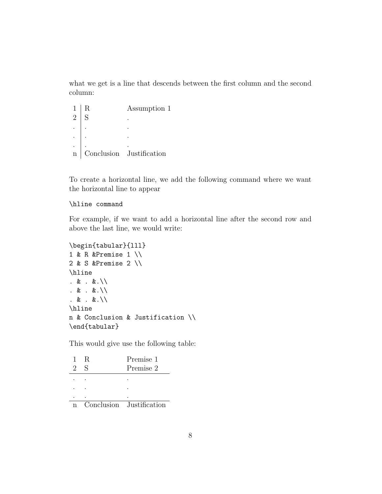what we get is a line that descends between the first column and the second column:

1 | R Assumption 1  $2 | S$  . .  $\begin{vmatrix} 1 & 1 & 1 \end{vmatrix}$ . . . .  $\begin{vmatrix} 1 & 1 & 1 \end{vmatrix}$ n Conclusion Justification

To create a horizontal line, we add the following command where we want the horizontal line to appear

#### \hline command

For example, if we want to add a horizontal line after the second row and above the last line, we would write:

```
\begin{tabular}{lll}
1 & R &Premise 1 \\
2 & S &Premise 2 \\
\hline
. & . &.\setminus. & . &.\setminus. & . &.\setminus\hline
n & Conclusion & Justification \\
\end{tabular}
```
This would give use the following table:

| R. | Premise 1                |
|----|--------------------------|
|    | Premise 2                |
|    |                          |
|    |                          |
|    |                          |
|    | Conclusion Justification |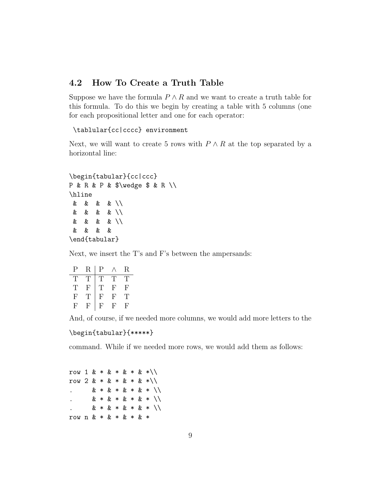### 4.2 How To Create a Truth Table

Suppose we have the formula  $P \wedge R$  and we want to create a truth table for this formula. To do this we begin by creating a table with 5 columns (one for each propositional letter and one for each operator:

\tablular{cc|cccc} environment

Next, we will want to create 5 rows with  $P \wedge R$  at the top separated by a horizontal line:

```
\begin{tabular}{cc|ccc}
P & R & P & $\wedge $ & R \\
\hline
& & & & \\
& & & & \\
& & & & \\
& & & &
\end{tabular}
```
Next, we insert the T's and F's between the ampersands:

| Р | R  | P |    | R. |
|---|----|---|----|----|
| Т | Ή, | T | Ή, | Ή, |
| T | F  | T | F  | F  |
| F | T  | F | F  | Ή, |
| F | F  | F | F  | F  |

And, of course, if we needed more columns, we would add more letters to the

```
\begin{tabular}{*****}
```
command. While if we needed more rows, we would add them as follows:

row 1 & \* & \* & \* & \*\\ row  $2 \& * \& * \& * \& * \& * \wedge$  $x * x * x * x * x * \sqrt{1}$  $& 1 \times 3 * 3 * 2 * 1$ . & \* & \* & \* & \* \\ row n & \* & \* & \* & \*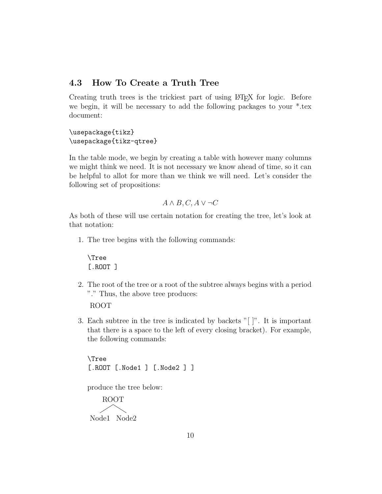### 4.3 How To Create a Truth Tree

Creating truth trees is the trickiest part of using LAT<sub>EX</sub> for logic. Before we begin, it will be necessary to add the following packages to your \*.tex document:

\usepackage{tikz} \usepackage{tikz-qtree}

In the table mode, we begin by creating a table with however many columns we might think we need. It is not necessary we know ahead of time, so it can be helpful to allot for more than we think we will need. Let's consider the following set of propositions:

$$
A \wedge B, C, A \vee \neg C
$$

As both of these will use certain notation for creating the tree, let's look at that notation:

1. The tree begins with the following commands:

\Tree [.ROOT ]

2. The root of the tree or a root of the subtree always begins with a period "." Thus, the above tree produces:

ROOT

3. Each subtree in the tree is indicated by backets "[ ]". It is important that there is a space to the left of every closing bracket). For example, the following commands:

\Tree [.ROOT [.Node1 ] [.Node2 ] ]

produce the tree below:

ROOT Node1 Node2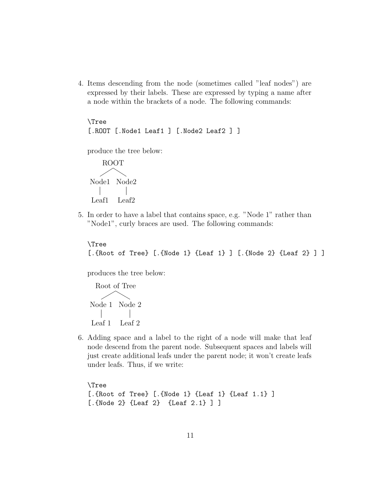4. Items descending from the node (sometimes called "leaf nodes") are expressed by their labels. These are expressed by typing a name after a node within the brackets of a node. The following commands:

\Tree [.ROOT [.Node1 Leaf1 ] [.Node2 Leaf2 ] ]

produce the tree below:

ROOT Node2 Node1 Leaf2 Leaf1

5. In order to have a label that contains space, e.g. "Node 1" rather than "Node1", curly braces are used. The following commands:

```
\Tree
[.{Root of Tree} [.{Node 1} {Leaf 1} ] [.{Node 2} {Leaf 2} ] ]
```
produces the tree below:

```
Root of Tree
Node 2
Node 1
        Leaf 2
Leaf 1
```
6. Adding space and a label to the right of a node will make that leaf node descend from the parent node. Subsequent spaces and labels will just create additional leafs under the parent node; it won't create leafs under leafs. Thus, if we write:

\Tree [.{Root of Tree} [.{Node 1} {Leaf 1} {Leaf 1.1} ] [.{Node 2} {Leaf 2} {Leaf 2.1} ] ]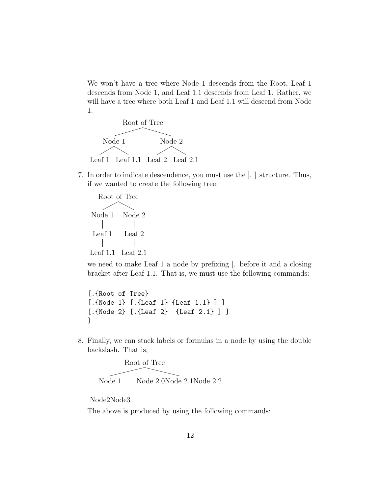We won't have a tree where Node 1 descends from the Root, Leaf 1 descends from Node 1, and Leaf 1.1 descends from Leaf 1. Rather, we will have a tree where both Leaf 1 and Leaf 1.1 will descend from Node 1.



7. In order to indicate descendence, you must use the [. ] structure. Thus, if we wanted to create the following tree:

```
Root of Tree
         Node 2
          Leaf 2
Leaf 2.1
Leaf 1.1
Node 1
Leaf 1
```
we need to make Leaf 1 a node by prefixing [. before it and a closing bracket after Leaf 1.1. That is, we must use the following commands:

[.{Root of Tree} [.{Node 1} [.{Leaf 1} {Leaf 1.1} ] ] [.{Node 2} [.{Leaf 2} {Leaf 2.1} ] ] ]

8. Finally, we can stack labels or formulas in a node by using the double backslash. That is,



The above is produced by using the following commands: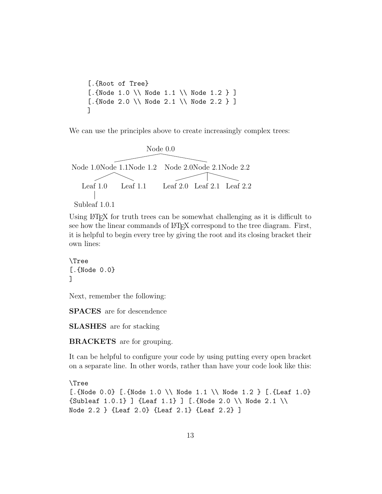```
[.{Root of Tree}
[.{Node 1.0 \\ Node 1.1 \\ Node 1.2 } ]
[.{Node 2.0 \\ Node 2.1 \\ Node 2.2 } ]
]
```
We can use the principles above to create increasingly complex trees:



```
Subleaf 1.0.1
```
Using LAT<sub>EX</sub> for truth trees can be somewhat challenging as it is difficult to see how the linear commands of LAT<sub>EX</sub> correspond to the tree diagram. First, it is helpful to begin every tree by giving the root and its closing bracket their own lines:

```
\Tree
[.{Node 0.0}
]
```
Next, remember the following:

SPACES are for descendence

SLASHES are for stacking

BRACKETS are for grouping.

It can be helpful to configure your code by using putting every open bracket on a separate line. In other words, rather than have your code look like this:

```
\Tree
[.{Node 0.0} [.{Node 1.0 \\ Node 1.1 \\ Node 1.2 } [.{Leaf 1.0}
{\text{Subleaf 1.0.1}} ] {\text{Leaf 1.1}} ] [.{Node 2.0 \\ Node 2.1 \\
Node 2.2 } {Leaf 2.0} {Leaf 2.1} {Leaf 2.2} ]
```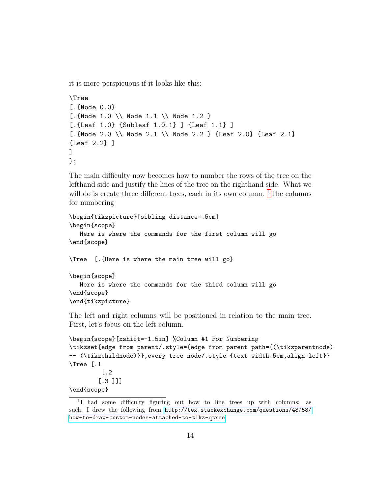it is more perspicuous if it looks like this:

```
\Tree
[. \{Node\ 0.0\}[.{Node 1.0 \\ Node 1.1 \\ Node 1.2 }
[.{Leaf 1.0} {Subleaf 1.0.1} ] {Leaf 1.1} ]
[.{Node 2.0 \\ Node 2.1 \\ Node 2.2 } {Leaf 2.0} {Leaf 2.1}
{Leaf 2.2} ]
\mathbb{I}};
```
The main difficulty now becomes how to number the rows of the tree on the lefthand side and justify the lines of the tree on the righthand side. What we will do is create three different trees, each in its own column.  ${}^{1}$  ${}^{1}$  ${}^{1}$ The columns for numbering

```
\begin{tikzpicture}[sibling distance=.5cm]
\begin{scope}
   Here is where the commands for the first column will go
\end{scope}
\Tree [.{Here is where the main tree will go}
\begin{scope}
  Here is where the commands for the third column will go
\end{scope}
\end{tikzpicture}
```
The left and right columns will be positioned in relation to the main tree. First, let's focus on the left column.

```
\begin{scope}[xshift=-1.5in] %Column #1 For Numbering
\tikzset{edge from parent/.style={edge from parent path={(\tikzparentnode)
-- (\tikzchildnode)}},every tree node/.style={text width=5em,align=left}}
\Tree [.1
         [.2
        [.3 ]]]
\end{scope}
```
<span id="page-13-0"></span><sup>&</sup>lt;sup>1</sup>I had some difficulty figuring out how to line trees up with columns; as such, I drew the following from [http://tex.stackexchange.com/questions/48758/](http://tex.stackexchange.com/questions/48758/how-to-draw-custom-nodes-attached-to-tikz-qtree) [how-to-draw-custom-nodes-attached-to-tikz-qtree](http://tex.stackexchange.com/questions/48758/how-to-draw-custom-nodes-attached-to-tikz-qtree).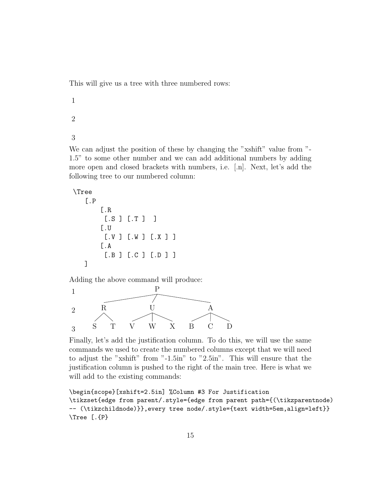This will give us a tree with three numbered rows:

1 2 3

We can adjust the position of these by changing the "xshift" value from "-1.5" to some other number and we can add additional numbers by adding more open and closed brackets with numbers, i.e. [.n]. Next, let's add the following tree to our numbered column:

```
\Tree
```

```
[.P
    [.R
     [.S ] [.T ] ]
    [.U
     [.V ] [.W ] [.X ] ]
    [.A
     [.B ] [.C ] [.D ] ]
]
```
Adding the above command will produce:



Finally, let's add the justification column. To do this, we will use the same commands we used to create the numbered columns except that we will need to adjust the "xshift" from "-1.5in" to "2.5in". This will ensure that the justification column is pushed to the right of the main tree. Here is what we will add to the existing commands:

```
\begin{scope}[xshift=2.5in] %Column #3 For Justification
\tikzset{edge from parent/.style={edge from parent path={(\tikzparentnode)
-- (\tikzchildnode)}},every tree node/.style={text width=5em,align=left}}
\Tree [.{P}
```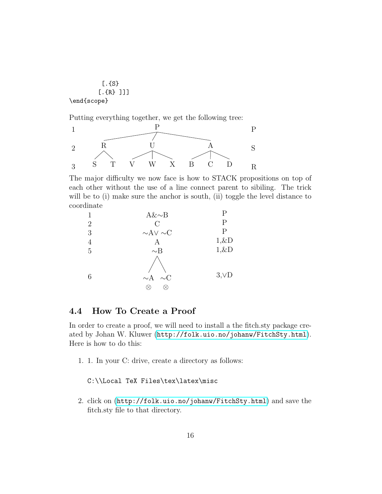

Putting everything together, we get the following tree:



The major difficulty we now face is how to STACK propositions on top of each other without the use of a line connect parent to sibiling. The trick will be to (i) make sure the anchor is south, (ii) toggle the level distance to coordinate

| 1              | $A&\sim B$           | P          |
|----------------|----------------------|------------|
| $\overline{2}$ | $\mathcal{C}$        | Р          |
| 3              | $\sim$ AV $\sim$ C   | Р          |
| 4              | А                    | $1,\&D$    |
| 5              | $\sim$ B             | $1,\&D$    |
| 6              | $\sim$ A<br>$\sim$ C | $3,\vee D$ |

### 4.4 How To Create a Proof

In order to create a proof, we will need to install a the fitch.sty package created by Johan W. Kluwer (<http://folk.uio.no/johanw/FitchSty.html>). Here is how to do this:

1. 1. In your C: drive, create a directory as follows:

C:\\Local TeX Files\tex\latex\misc

2. click on (<http://folk.uio.no/johanw/FitchSty.html>) and save the fitch.sty file to that directory.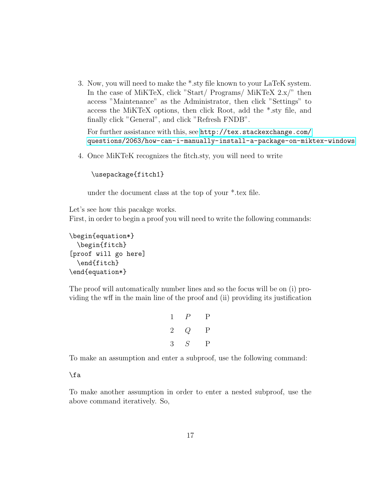3. Now, you will need to make the \*.sty file known to your LaTeK system. In the case of MiKTeX, click "Start/ Programs/ MiKTeX 2.x/" then access "Maintenance" as the Administrator, then click "Settings" to access the MiKTeX options, then click Root, add the \*.sty file, and finally click "General", and click "Refresh FNDB".

For further assistance with this, see [http://tex.stackexchange.com/](http://tex.stackexchange.com/questions/2063/how-can-i-manually-install-a-package-on-miktex-windows) [questions/2063/how-can-i-manually-install-a-package-on-miktex-windows](http://tex.stackexchange.com/questions/2063/how-can-i-manually-install-a-package-on-miktex-windows)

4. Once MiKTeK recognizes the fitch.sty, you will need to write

```
\usepackage{fitch1}
```
under the document class at the top of your \*.tex file.

Let's see how this pacakge works.

First, in order to begin a proof you will need to write the following commands:

```
\begin{equation*}
  \begin{fitch}
[proof will go here]
  \end{fitch}
\end{equation*}
```
The proof will automatically number lines and so the focus will be on (i) providing the wff in the main line of the proof and (ii) providing its justification

|             | $1 \quad P$ | $\mathbf{P}$ |
|-------------|-------------|--------------|
| $2^{\circ}$ | Q           | $\mathbf{P}$ |
| 3           | S           | $\rm P$      |

To make an assumption and enter a subproof, use the following command:

\fa

To make another assumption in order to enter a nested subproof, use the above command iteratively. So,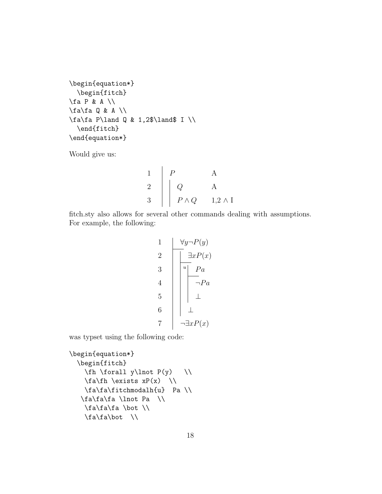```
\begin{equation*}
  \begin{fitch}
\fa P & A \\
\frac{d}{d} Q & A \ \ \ \ \\fa\fa P\land Q & 1,2$\land$ I \\
  \end{fitch}
\end{equation*}
```
Would give us:

$$
\begin{array}{c|cc}\n1 & P & A \\
2 & Q & A \\
3 & P \wedge Q & 1,2 \wedge I\n\end{array}
$$

fitch.sty also allows for several other commands dealing with assumptions. For example, the following:

1 ∀y¬P(y) 2 ∃xP(x) 3 <sup>u</sup> P a 4 ¬P a 5 ⊥ 6 ⊥ 7 ¬∃xP(x)

was typset using the following code:

```
\begin{equation*}
  \begin{fitch}
    \left\{ \frac{1}{1} \right\} \forall y \lnot P(y) \\
     \frac{fh}{\exists xP(x)} \ \ \ \ \ \ \\fa\fa\fitchmodalh{u} Pa \\
   \fa\fa\fa \lnot Pa \\
     \fa\fa\fa \bot \\
     \frac{fa}{bc} \ \ \ \ \ \
```